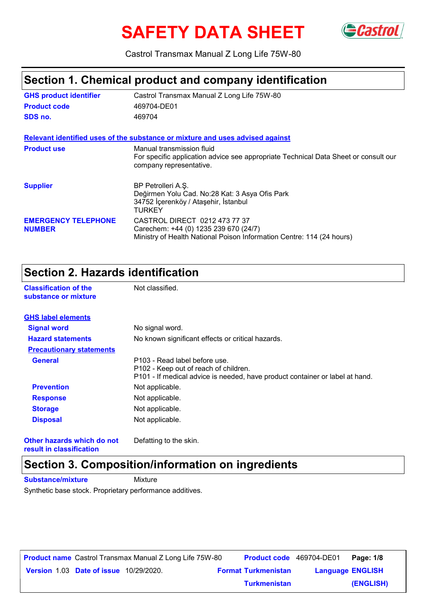# SAFETY DATA SHEET GCastrol



Castrol Transmax Manual Z Long Life 75W-80

# **Section 1. Chemical product and company identification**

| <b>GHS product identifier</b>               | Castrol Transmax Manual Z Long Life 75W-80                                                                                                      |
|---------------------------------------------|-------------------------------------------------------------------------------------------------------------------------------------------------|
| <b>Product code</b>                         | 469704-DE01                                                                                                                                     |
| SDS no.                                     | 469704                                                                                                                                          |
|                                             | Relevant identified uses of the substance or mixture and uses advised against                                                                   |
| <b>Product use</b>                          | Manual transmission fluid<br>For specific application advice see appropriate Technical Data Sheet or consult our<br>company representative.     |
| <b>Supplier</b>                             | BP Petrolleri A.Ş.<br>Değirmen Yolu Cad. No:28 Kat: 3 Asya Ofis Park<br>34752 İçerenköy / Ataşehir, İstanbul<br>TURKEY                          |
| <b>EMERGENCY TELEPHONE</b><br><b>NUMBER</b> | CASTROL DIRECT 0212 473 77 37<br>Carechem: +44 (0) 1235 239 670 (24/7)<br>Ministry of Health National Poison Information Centre: 114 (24 hours) |

### **Section 2. Hazards identification**

**Classification of the Mot classified.** 

| substance or mixture            |                                                                                                                                                        |
|---------------------------------|--------------------------------------------------------------------------------------------------------------------------------------------------------|
| <b>GHS label elements</b>       |                                                                                                                                                        |
| <b>Signal word</b>              | No signal word.                                                                                                                                        |
| <b>Hazard statements</b>        | No known significant effects or critical hazards.                                                                                                      |
| <b>Precautionary statements</b> |                                                                                                                                                        |
| <b>General</b>                  | P103 - Read label before use.<br>P102 - Keep out of reach of children.<br>P101 - If medical advice is needed, have product container or label at hand. |
| <b>Prevention</b>               | Not applicable.                                                                                                                                        |
| <b>Response</b>                 | Not applicable.                                                                                                                                        |
| <b>Storage</b>                  | Not applicable.                                                                                                                                        |
| <b>Disposal</b>                 | Not applicable.                                                                                                                                        |
|                                 |                                                                                                                                                        |

**Other hazards which do not result in classification**

Defatting to the skin.

# **Section 3. Composition/information on ingredients**

**Substance/mixture Mixture** 

Synthetic base stock. Proprietary performance additives.

|                                               | <b>Product name</b> Castrol Transmax Manual Z Long Life 75W-80 | <b>Product code</b> 469704-DE01 |                         | Page: 1/8 |
|-----------------------------------------------|----------------------------------------------------------------|---------------------------------|-------------------------|-----------|
| <b>Version 1.03 Date of issue 10/29/2020.</b> |                                                                | <b>Format Turkmenistan</b>      | <b>Language ENGLISH</b> |           |
|                                               |                                                                | <b>Turkmenistan</b>             |                         | (ENGLISH) |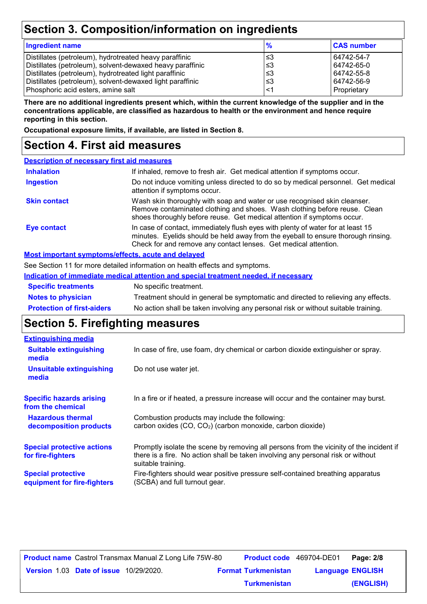# **Section 3. Composition/information on ingredients**

| <b>Ingredient name</b>                                                                                                                                                                                                                                                           | $\frac{9}{6}$                     | <b>CAS number</b>                                                   |
|----------------------------------------------------------------------------------------------------------------------------------------------------------------------------------------------------------------------------------------------------------------------------------|-----------------------------------|---------------------------------------------------------------------|
| Distillates (petroleum), hydrotreated heavy paraffinic<br>Distillates (petroleum), solvent-dewaxed heavy paraffinic<br>Distillates (petroleum), hydrotreated light paraffinic<br>Distillates (petroleum), solvent-dewaxed light paraffinic<br>Phosphoric acid esters, amine salt | צ≥<br>∖3≥ ا<br>՝≤3<br>∖3≥ ا<br>≤1 | 64742-54-7<br>64742-65-0<br>64742-55-8<br>64742-56-9<br>Proprietary |
|                                                                                                                                                                                                                                                                                  |                                   |                                                                     |

**There are no additional ingredients present which, within the current knowledge of the supplier and in the concentrations applicable, are classified as hazardous to health or the environment and hence require reporting in this section.**

**Occupational exposure limits, if available, are listed in Section 8.**

# **Section 4. First aid measures**

| <b>Description of necessary first aid measures</b> |                                                                                                                                                                                                                                         |  |  |  |
|----------------------------------------------------|-----------------------------------------------------------------------------------------------------------------------------------------------------------------------------------------------------------------------------------------|--|--|--|
| <b>Inhalation</b>                                  | If inhaled, remove to fresh air. Get medical attention if symptoms occur.                                                                                                                                                               |  |  |  |
| <b>Ingestion</b>                                   | Do not induce vomiting unless directed to do so by medical personnel. Get medical<br>attention if symptoms occur.                                                                                                                       |  |  |  |
| <b>Skin contact</b>                                | Wash skin thoroughly with soap and water or use recognised skin cleanser.<br>Remove contaminated clothing and shoes. Wash clothing before reuse. Clean<br>shoes thoroughly before reuse. Get medical attention if symptoms occur.       |  |  |  |
| Eye contact                                        | In case of contact, immediately flush eyes with plenty of water for at least 15<br>minutes. Eyelids should be held away from the eyeball to ensure thorough rinsing.<br>Check for and remove any contact lenses. Get medical attention. |  |  |  |

#### **Most important symptoms/effects, acute and delayed**

See Section 11 for more detailed information on health effects and symptoms.

|                                   | Indication of immediate medical attention and special treatment needed, if necessary |
|-----------------------------------|--------------------------------------------------------------------------------------|
| <b>Specific treatments</b>        | No specific treatment.                                                               |
| <b>Notes to physician</b>         | Treatment should in general be symptomatic and directed to relieving any effects.    |
| <b>Protection of first-aiders</b> | No action shall be taken involving any personal risk or without suitable training.   |

### **Section 5. Firefighting measures**

| In case of fire, use foam, dry chemical or carbon dioxide extinguisher or spray.                                                                                                                  |
|---------------------------------------------------------------------------------------------------------------------------------------------------------------------------------------------------|
| Do not use water jet.                                                                                                                                                                             |
| In a fire or if heated, a pressure increase will occur and the container may burst.                                                                                                               |
| Combustion products may include the following:<br>carbon oxides (CO, CO <sub>2</sub> ) (carbon monoxide, carbon dioxide)                                                                          |
| Promptly isolate the scene by removing all persons from the vicinity of the incident if<br>there is a fire. No action shall be taken involving any personal risk or without<br>suitable training. |
| Fire-fighters should wear positive pressure self-contained breathing apparatus<br>(SCBA) and full turnout gear.                                                                                   |
|                                                                                                                                                                                                   |

**Date of issue** 10/29/2020. **Version** 1.03 **Format Turkmenistan Language Product name** Castrol Transmax Manual Z Long Life 75W-80 **Product code** 469704-DE01 **Page: 2/8** | **Language ENGLISH (ENGLISH) Product code** 469704-DE01 Page: 2/8 **Turkmenistan**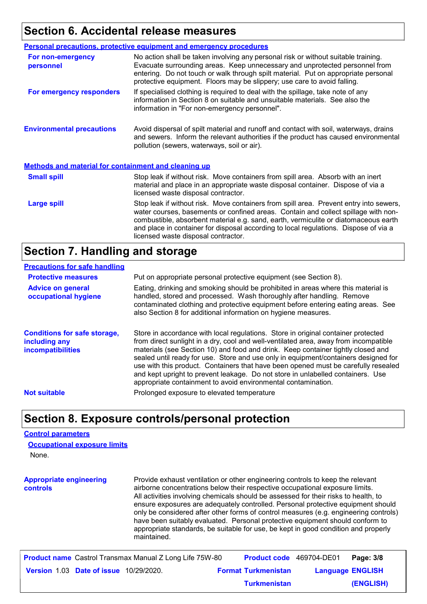# **Section 6. Accidental release measures**

|                                                             | <b>Personal precautions, protective equipment and emergency procedures</b>                                                                                                                                                                                                                                                                                                                         |
|-------------------------------------------------------------|----------------------------------------------------------------------------------------------------------------------------------------------------------------------------------------------------------------------------------------------------------------------------------------------------------------------------------------------------------------------------------------------------|
| For non-emergency<br>personnel                              | No action shall be taken involving any personal risk or without suitable training.<br>Evacuate surrounding areas. Keep unnecessary and unprotected personnel from<br>entering. Do not touch or walk through spilt material. Put on appropriate personal<br>protective equipment. Floors may be slippery; use care to avoid falling.                                                                |
| For emergency responders                                    | If specialised clothing is required to deal with the spillage, take note of any<br>information in Section 8 on suitable and unsuitable materials. See also the<br>information in "For non-emergency personnel".                                                                                                                                                                                    |
| <b>Environmental precautions</b>                            | Avoid dispersal of spilt material and runoff and contact with soil, waterways, drains<br>and sewers. Inform the relevant authorities if the product has caused environmental<br>pollution (sewers, waterways, soil or air).                                                                                                                                                                        |
| <b>Methods and material for containment and cleaning up</b> |                                                                                                                                                                                                                                                                                                                                                                                                    |
| <b>Small spill</b>                                          | Stop leak if without risk. Move containers from spill area. Absorb with an inert<br>material and place in an appropriate waste disposal container. Dispose of via a<br>licensed waste disposal contractor.                                                                                                                                                                                         |
| <b>Large spill</b>                                          | Stop leak if without risk. Move containers from spill area. Prevent entry into sewers,<br>water courses, basements or confined areas. Contain and collect spillage with non-<br>combustible, absorbent material e.g. sand, earth, vermiculite or diatomaceous earth<br>and place in container for disposal according to local regulations. Dispose of via a<br>licensed waste disposal contractor. |

### **Section 7. Handling and storage**

#### **Precautions for safe handling**

| <b>Protective measures</b>                                                | Put on appropriate personal protective equipment (see Section 8).                                                                                                                                                                                                                                                                                                                                                                                                                                                                                                                              |
|---------------------------------------------------------------------------|------------------------------------------------------------------------------------------------------------------------------------------------------------------------------------------------------------------------------------------------------------------------------------------------------------------------------------------------------------------------------------------------------------------------------------------------------------------------------------------------------------------------------------------------------------------------------------------------|
| <b>Advice on general</b><br>occupational hygiene                          | Eating, drinking and smoking should be prohibited in areas where this material is<br>handled, stored and processed. Wash thoroughly after handling. Remove<br>contaminated clothing and protective equipment before entering eating areas. See<br>also Section 8 for additional information on hygiene measures.                                                                                                                                                                                                                                                                               |
| <b>Conditions for safe storage,</b><br>including any<br>incompatibilities | Store in accordance with local regulations. Store in original container protected<br>from direct sunlight in a dry, cool and well-ventilated area, away from incompatible<br>materials (see Section 10) and food and drink. Keep container tightly closed and<br>sealed until ready for use. Store and use only in equipment/containers designed for<br>use with this product. Containers that have been opened must be carefully resealed<br>and kept upright to prevent leakage. Do not store in unlabelled containers. Use<br>appropriate containment to avoid environmental contamination. |
| <b>Not suitable</b>                                                       | Prolonged exposure to elevated temperature                                                                                                                                                                                                                                                                                                                                                                                                                                                                                                                                                     |

### **Section 8. Exposure controls/personal protection**

#### **Control parameters**

None. **Occupational exposure limits**

**Appropriate engineering controls** Provide exhaust ventilation or other engineering controls to keep the relevant airborne concentrations below their respective occupational exposure limits. All activities involving chemicals should be assessed for their risks to health, to ensure exposures are adequately controlled. Personal protective equipment should only be considered after other forms of control measures (e.g. engineering controls) have been suitably evaluated. Personal protective equipment should conform to appropriate standards, be suitable for use, be kept in good condition and properly maintained.

|                                               | <b>Product name</b> Castrol Transmax Manual Z Long Life 75W-80 | <b>Product code</b> 469704-DE01 |                         | Page: 3/8 |
|-----------------------------------------------|----------------------------------------------------------------|---------------------------------|-------------------------|-----------|
| <b>Version 1.03 Date of issue 10/29/2020.</b> |                                                                | <b>Format Turkmenistan</b>      | <b>Language ENGLISH</b> |           |
|                                               |                                                                | <b>Turkmenistan</b>             |                         | (ENGLISH) |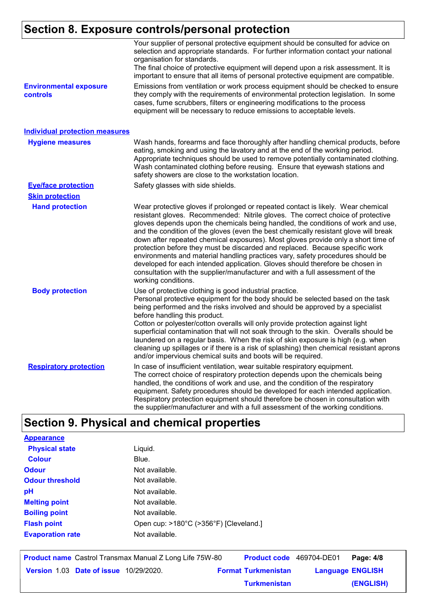# **Section 8. Exposure controls/personal protection**

|                                                  | Your supplier of personal protective equipment should be consulted for advice on<br>selection and appropriate standards. For further information contact your national<br>organisation for standards.<br>The final choice of protective equipment will depend upon a risk assessment. It is<br>important to ensure that all items of personal protective equipment are compatible.                                                                                                                                                                                                                                                                                                                                                                                                              |
|--------------------------------------------------|-------------------------------------------------------------------------------------------------------------------------------------------------------------------------------------------------------------------------------------------------------------------------------------------------------------------------------------------------------------------------------------------------------------------------------------------------------------------------------------------------------------------------------------------------------------------------------------------------------------------------------------------------------------------------------------------------------------------------------------------------------------------------------------------------|
| <b>Environmental exposure</b><br><b>controls</b> | Emissions from ventilation or work process equipment should be checked to ensure<br>they comply with the requirements of environmental protection legislation. In some<br>cases, fume scrubbers, filters or engineering modifications to the process<br>equipment will be necessary to reduce emissions to acceptable levels.                                                                                                                                                                                                                                                                                                                                                                                                                                                                   |
| <b>Individual protection measures</b>            |                                                                                                                                                                                                                                                                                                                                                                                                                                                                                                                                                                                                                                                                                                                                                                                                 |
| <b>Hygiene measures</b>                          | Wash hands, forearms and face thoroughly after handling chemical products, before<br>eating, smoking and using the lavatory and at the end of the working period.<br>Appropriate techniques should be used to remove potentially contaminated clothing.<br>Wash contaminated clothing before reusing. Ensure that eyewash stations and<br>safety showers are close to the workstation location.                                                                                                                                                                                                                                                                                                                                                                                                 |
| <b>Eye/face protection</b>                       | Safety glasses with side shields.                                                                                                                                                                                                                                                                                                                                                                                                                                                                                                                                                                                                                                                                                                                                                               |
| <b>Skin protection</b>                           |                                                                                                                                                                                                                                                                                                                                                                                                                                                                                                                                                                                                                                                                                                                                                                                                 |
| <b>Hand protection</b>                           | Wear protective gloves if prolonged or repeated contact is likely. Wear chemical<br>resistant gloves. Recommended: Nitrile gloves. The correct choice of protective<br>gloves depends upon the chemicals being handled, the conditions of work and use,<br>and the condition of the gloves (even the best chemically resistant glove will break<br>down after repeated chemical exposures). Most gloves provide only a short time of<br>protection before they must be discarded and replaced. Because specific work<br>environments and material handling practices vary, safety procedures should be<br>developed for each intended application. Gloves should therefore be chosen in<br>consultation with the supplier/manufacturer and with a full assessment of the<br>working conditions. |
| <b>Body protection</b>                           | Use of protective clothing is good industrial practice.<br>Personal protective equipment for the body should be selected based on the task<br>being performed and the risks involved and should be approved by a specialist<br>before handling this product.<br>Cotton or polyester/cotton overalls will only provide protection against light<br>superficial contamination that will not soak through to the skin. Overalls should be<br>laundered on a regular basis. When the risk of skin exposure is high (e.g. when<br>cleaning up spillages or if there is a risk of splashing) then chemical resistant aprons<br>and/or impervious chemical suits and boots will be required.                                                                                                           |
| <b>Respiratory protection</b>                    | In case of insufficient ventilation, wear suitable respiratory equipment.<br>The correct choice of respiratory protection depends upon the chemicals being<br>handled, the conditions of work and use, and the condition of the respiratory<br>equipment. Safety procedures should be developed for each intended application.<br>Respiratory protection equipment should therefore be chosen in consultation with<br>the supplier/manufacturer and with a full assessment of the working conditions.                                                                                                                                                                                                                                                                                           |

# **Section 9. Physical and chemical properties**

| <b>Appearance</b>       |                                        |
|-------------------------|----------------------------------------|
| <b>Physical state</b>   | Liquid.                                |
| <b>Colour</b>           | Blue.                                  |
| <b>Odour</b>            | Not available.                         |
| <b>Odour threshold</b>  | Not available.                         |
| рH                      | Not available.                         |
| <b>Melting point</b>    | Not available.                         |
| <b>Boiling point</b>    | Not available.                         |
| <b>Flash point</b>      | Open cup: >180°C (>356°F) [Cleveland.] |
| <b>Evaporation rate</b> | Not available.                         |
|                         |                                        |

|                                               | <b>Product name</b> Castrol Transmax Manual Z Long Life 75W-80 | <b>Product code</b> 469704-DE01 |                         | Page: 4/8 |
|-----------------------------------------------|----------------------------------------------------------------|---------------------------------|-------------------------|-----------|
| <b>Version 1.03 Date of issue 10/29/2020.</b> |                                                                | <b>Format Turkmenistan</b>      | <b>Language ENGLISH</b> |           |
|                                               |                                                                | <b>Turkmenistan</b>             |                         | (ENGLISH) |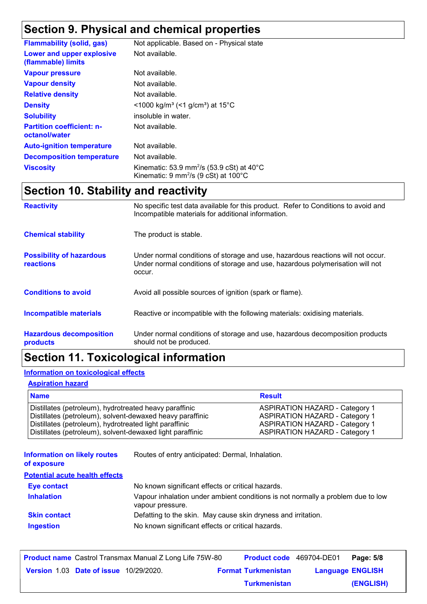# **Section 9. Physical and chemical properties**

| <b>Flammability (solid, gas)</b>                  | Not applicable. Based on - Physical state                                                                                                       |
|---------------------------------------------------|-------------------------------------------------------------------------------------------------------------------------------------------------|
| Lower and upper explosive<br>(flammable) limits   | Not available.                                                                                                                                  |
| <b>Vapour pressure</b>                            | Not available.                                                                                                                                  |
| <b>Vapour density</b>                             | Not available.                                                                                                                                  |
| <b>Relative density</b>                           | Not available.                                                                                                                                  |
| <b>Density</b>                                    | <1000 kg/m <sup>3</sup> (<1 g/cm <sup>3</sup> ) at 15 <sup>°</sup> C                                                                            |
| <b>Solubility</b>                                 | insoluble in water.                                                                                                                             |
| <b>Partition coefficient: n-</b><br>octanol/water | Not available.                                                                                                                                  |
| <b>Auto-ignition temperature</b>                  | Not available.                                                                                                                                  |
| <b>Decomposition temperature</b>                  | Not available.                                                                                                                                  |
| <b>Viscosity</b>                                  | Kinematic: 53.9 mm <sup>2</sup> /s (53.9 cSt) at $40^{\circ}$ C<br>Kinematic: $9 \text{ mm}^2$ /s ( $9 \text{ cSt}$ ) at $100^{\circ} \text{C}$ |

# **Section 10. Stability and reactivity**

| <b>Reactivity</b>                            | No specific test data available for this product. Refer to Conditions to avoid and<br>Incompatible materials for additional information.                                   |
|----------------------------------------------|----------------------------------------------------------------------------------------------------------------------------------------------------------------------------|
| <b>Chemical stability</b>                    | The product is stable.                                                                                                                                                     |
| <b>Possibility of hazardous</b><br>reactions | Under normal conditions of storage and use, hazardous reactions will not occur.<br>Under normal conditions of storage and use, hazardous polymerisation will not<br>occur. |
| <b>Conditions to avoid</b>                   | Avoid all possible sources of ignition (spark or flame).                                                                                                                   |
| <b>Incompatible materials</b>                | Reactive or incompatible with the following materials: oxidising materials.                                                                                                |
| <b>Hazardous decomposition</b><br>products   | Under normal conditions of storage and use, hazardous decomposition products<br>should not be produced.                                                                    |

# **Section 11. Toxicological information**

#### **Information on toxicological effects**

#### **Aspiration hazard**

| <b>Name</b>                                               | <b>Result</b>                         |
|-----------------------------------------------------------|---------------------------------------|
| Distillates (petroleum), hydrotreated heavy paraffinic    | <b>ASPIRATION HAZARD - Category 1</b> |
| Distillates (petroleum), solvent-dewaxed heavy paraffinic | <b>ASPIRATION HAZARD - Category 1</b> |
| Distillates (petroleum), hydrotreated light paraffinic    | <b>ASPIRATION HAZARD - Category 1</b> |
| Distillates (petroleum), solvent-dewaxed light paraffinic | <b>ASPIRATION HAZARD - Category 1</b> |

**Information on likely routes**  Routes of entry anticipated: Dermal, Inhalation.

#### **of exposure**

| <b>Potential acute health effects</b> |                                                                                                     |
|---------------------------------------|-----------------------------------------------------------------------------------------------------|
| Eye contact                           | No known significant effects or critical hazards.                                                   |
| <b>Inhalation</b>                     | Vapour inhalation under ambient conditions is not normally a problem due to low<br>vapour pressure. |
| <b>Skin contact</b>                   | Defatting to the skin. May cause skin dryness and irritation.                                       |
| <b>Ingestion</b>                      | No known significant effects or critical hazards.                                                   |

|                                               | <b>Product name</b> Castrol Transmax Manual Z Long Life 75W-80 | <b>Product code</b> 469704-DE01 |                         | Page: 5/8 |
|-----------------------------------------------|----------------------------------------------------------------|---------------------------------|-------------------------|-----------|
| <b>Version 1.03 Date of issue 10/29/2020.</b> |                                                                | <b>Format Turkmenistan</b>      | <b>Language ENGLISH</b> |           |
|                                               |                                                                | <b>Turkmenistan</b>             |                         | (ENGLISH) |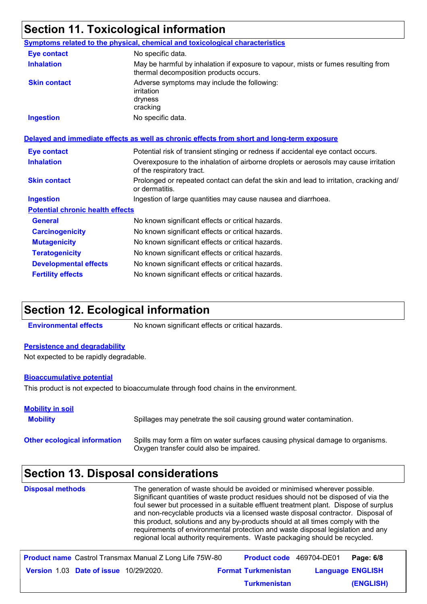# **Section 11. Toxicological information**

|                                         | <b>Symptoms related to the physical, chemical and toxicological characteristics</b>                                         |
|-----------------------------------------|-----------------------------------------------------------------------------------------------------------------------------|
| <b>Eye contact</b>                      | No specific data.                                                                                                           |
| <b>Inhalation</b>                       | May be harmful by inhalation if exposure to vapour, mists or fumes resulting from<br>thermal decomposition products occurs. |
| <b>Skin contact</b>                     | Adverse symptoms may include the following:<br>irritation<br>dryness<br>cracking                                            |
| <b>Ingestion</b>                        | No specific data.                                                                                                           |
|                                         | Delayed and immediate effects as well as chronic effects from short and long-term exposure                                  |
| <b>Eye contact</b>                      | Potential risk of transient stinging or redness if accidental eye contact occurs.                                           |
| <b>Inhalation</b>                       | Overexposure to the inhalation of airborne droplets or aerosols may cause irritation<br>of the respiratory tract.           |
| <b>Skin contact</b>                     | Prolonged or repeated contact can defat the skin and lead to irritation, cracking and/<br>or dermatitis.                    |
| <b>Ingestion</b>                        | Ingestion of large quantities may cause nausea and diarrhoea.                                                               |
| <b>Potential chronic health effects</b> |                                                                                                                             |
| <b>General</b>                          | No known significant effects or critical hazards.                                                                           |
| <b>Carcinogenicity</b>                  | No known significant effects or critical hazards.                                                                           |
| <b>Mutagenicity</b>                     | No known significant effects or critical hazards.                                                                           |
| <b>Teratogenicity</b>                   | No known significant effects or critical hazards.                                                                           |
| <b>Developmental effects</b>            | No known significant effects or critical hazards.                                                                           |
| <b>Fertility effects</b>                | No known significant effects or critical hazards.                                                                           |

### **Section 12. Ecological information**

**Environmental effects** No known significant effects or critical hazards.

#### **Persistence and degradability**

Not expected to be rapidly degradable.

#### **Bioaccumulative potential**

This product is not expected to bioaccumulate through food chains in the environment.

| <b>Mobility in soil</b><br><b>Mobility</b> | Spillages may penetrate the soil causing ground water contamination.                                                      |
|--------------------------------------------|---------------------------------------------------------------------------------------------------------------------------|
| <b>Other ecological information</b>        | Spills may form a film on water surfaces causing physical damage to organisms.<br>Oxygen transfer could also be impaired. |

# **Section 13. Disposal considerations**

| <b>Disposal methods</b> | The generation of waste should be avoided or minimised wherever possible.<br>Significant quantities of waste product residues should not be disposed of via the<br>foul sewer but processed in a suitable effluent treatment plant. Dispose of surplus<br>and non-recyclable products via a licensed waste disposal contractor. Disposal of<br>this product, solutions and any by-products should at all times comply with the<br>requirements of environmental protection and waste disposal legislation and any<br>regional local authority requirements. Waste packaging should be recycled. |
|-------------------------|-------------------------------------------------------------------------------------------------------------------------------------------------------------------------------------------------------------------------------------------------------------------------------------------------------------------------------------------------------------------------------------------------------------------------------------------------------------------------------------------------------------------------------------------------------------------------------------------------|
|                         |                                                                                                                                                                                                                                                                                                                                                                                                                                                                                                                                                                                                 |

|                                               | <b>Product name</b> Castrol Transmax Manual Z Long Life 75W-80 | Product code 469704-DE01   | Page: 6/8               |
|-----------------------------------------------|----------------------------------------------------------------|----------------------------|-------------------------|
| <b>Version 1.03 Date of issue 10/29/2020.</b> |                                                                | <b>Format Turkmenistan</b> | <b>Language ENGLISH</b> |
|                                               |                                                                | <b>Turkmenistan</b>        | (ENGLISH)               |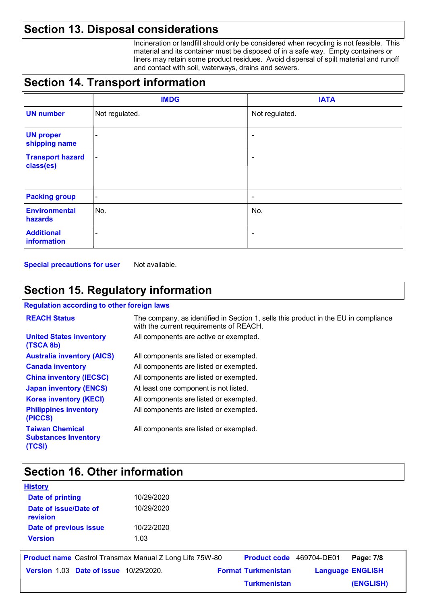# **Section 13. Disposal considerations**

Incineration or landfill should only be considered when recycling is not feasible. This material and its container must be disposed of in a safe way. Empty containers or liners may retain some product residues. Avoid dispersal of spilt material and runoff and contact with soil, waterways, drains and sewers.

# **Section 14. Transport information**

|                                      | <b>IMDG</b>              | <b>IATA</b>              |
|--------------------------------------|--------------------------|--------------------------|
| <b>UN number</b>                     | Not regulated.           | Not regulated.           |
| <b>UN proper</b><br>shipping name    | $\overline{\phantom{a}}$ | $\overline{\phantom{a}}$ |
| <b>Transport hazard</b><br>class(es) | $\blacksquare$           | $\overline{\phantom{a}}$ |
| <b>Packing group</b>                 | $\overline{\phantom{a}}$ | $\overline{\phantom{a}}$ |
| <b>Environmental</b><br>hazards      | No.                      | No.                      |
| <b>Additional</b><br>information     | ٠                        | $\overline{\phantom{a}}$ |

**Special precautions for user** Not available.

# **Section 15. Regulatory information**

#### **Regulation according to other foreign laws**

| <b>REACH Status</b>                                             | The company, as identified in Section 1, sells this product in the EU in compliance<br>with the current requirements of REACH. |
|-----------------------------------------------------------------|--------------------------------------------------------------------------------------------------------------------------------|
| <b>United States inventory</b><br>(TSCA 8b)                     | All components are active or exempted.                                                                                         |
| <b>Australia inventory (AICS)</b>                               | All components are listed or exempted.                                                                                         |
| <b>Canada inventory</b>                                         | All components are listed or exempted.                                                                                         |
| <b>China inventory (IECSC)</b>                                  | All components are listed or exempted.                                                                                         |
| <b>Japan inventory (ENCS)</b>                                   | At least one component is not listed.                                                                                          |
| <b>Korea inventory (KECI)</b>                                   | All components are listed or exempted.                                                                                         |
| <b>Philippines inventory</b><br>(PICCS)                         | All components are listed or exempted.                                                                                         |
| <b>Taiwan Chemical</b><br><b>Substances Inventory</b><br>(TCSI) | All components are listed or exempted.                                                                                         |

# **Section 16. Other information**

| <b>HISLOTY</b>                    |            |  |
|-----------------------------------|------------|--|
| Date of printing                  | 10/29/2020 |  |
| Date of issue/Date of<br>revision | 10/29/2020 |  |
| Date of previous issue            | 10/22/2020 |  |
| <b>Version</b>                    | 1.03       |  |
|                                   |            |  |

**History**

|  |                                               | <b>Product name</b> Castrol Transmax Manual Z Long Life 75W-80 | <b>Product code</b> 469704-DE01 |                         | Page: 7/8 |
|--|-----------------------------------------------|----------------------------------------------------------------|---------------------------------|-------------------------|-----------|
|  | <b>Version 1.03 Date of issue 10/29/2020.</b> |                                                                | <b>Format Turkmenistan</b>      | <b>Language ENGLISH</b> |           |
|  |                                               |                                                                | <b>Turkmenistan</b>             |                         | (ENGLISH) |